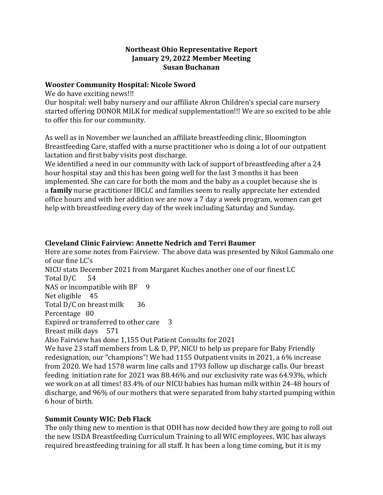#### **Northeast Ohio Representative Report January 29, 2022 Member Meeting Susan Buchanan**

#### **Wooster Community Hospital: Nicole Sword**

We do have exciting news!!!

Our hospital: well baby nursery and our affiliate Akron Children's special care nursery started offering DONOR MILK for medical supplementation!!! We are so excited to be able to offer this for our community.

As well as in November we launched an affiliate breastfeeding clinic, Bloomington Breastfeeding Care, staffed with a nurse practitioner who is doing a lot of our outpatient lactation and first baby visits post discharge.

We identified a need in our community with lack of support of breastfeeding after a 24 hour hospital stay and this has been going well for the last 3 months it has been implemented. She can care for both the mom and the baby as a couplet because she is a **family** nurse practitioner IBCLC and families seem to really appreciate her extended office hours and with her addition we are now a 7 day a week program, women can get help with breastfeeding every day of the week including Saturday and Sunday.

### **Cleveland Clinic Fairview: Annette Nedrich and Terri Baumer**

Here are some notes from Fairview. The above data was presented by Nikol Gammalo one of our fine LC's NICU stats December 2021 from Margaret Kuches another one of our finest LC Total D/C 54 NAS or incompatible with BF 9 Net eligible 45 Total D/C on breast milk 36 Percentage 80 Expired or transferred to other care 3 Breast milk days 571 Also Fairview has done 1,155 Out Patient Consults for 2021 We have 23 staff members from L & D, PP, NICU to help us prepare for Baby Friendly redesignation, our "champions"! We had 1155 Outpatient visits in 2021, a 6% increase from 2020. We had 1578 warm line calls and 1793 follow up discharge calls. Our breast feeding initiation rate for 2021 was 88.46% and our exclusivity rate was 64.93%, which we work on at all times! 83.4% of our NICU babies has human milk within 24-48 hours of discharge, and 96% of our mothers that were separated from baby started pumping within 6 hour of birth.

# **Summit County WIC: Deb Flack**

The only thing new to mention is that ODH has now decided how they are going to roll out the new USDA Breastfeeding Curriculum Training to all WIC employees. WIC has always required breastfeeding training for all staff. It has been a long time coming, but it is my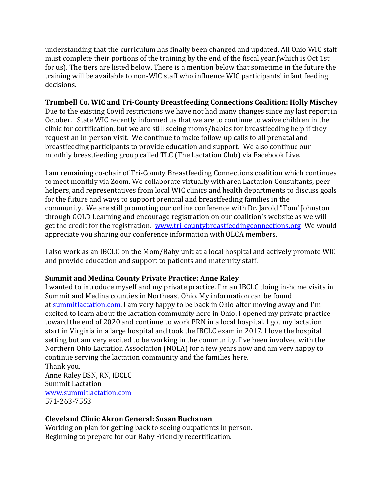understanding that the curriculum has finally been changed and updated. All Ohio WIC staff must complete their portions of the training by the end of the fiscal year.(which is Oct 1st for us). The tiers are listed below. There is a mention below that sometime in the future the training will be available to non-WIC staff who influence WIC participants' infant feeding decisions.

#### **Trumbell Co. WIC and Tri-County Breastfeeding Connections Coalition: Holly Mischey**

Due to the existing Covid restrictions we have not had many changes since my last report in October. State WIC recently informed us that we are to continue to waive children in the clinic for certification, but we are still seeing moms/babies for breastfeeding help if they request an in-person visit. We continue to make follow-up calls to all prenatal and breastfeeding participants to provide education and support. We also continue our monthly breastfeeding group called TLC (The Lactation Club) via Facebook Live.

I am remaining co-chair of Tri-County Breastfeeding Connections coalition which continues to meet monthly via Zoom. We collaborate virtually with area Lactation Consultants, peer helpers, and representatives from local WIC clinics and health departments to discuss goals for the future and ways to support prenatal and breastfeeding families in the community. We are still promoting our online conference with Dr. Jarold "Tom' Johnston through GOLD Learning and encourage registration on our coalition's website as we will get the credit for the registration. [www.tri-countybreastfeedingconnections.org](http://www.tri-countybreastfeedingconnections.org/) We would appreciate you sharing our conference information with OLCA members.

I also work as an IBCLC on the Mom/Baby unit at a local hospital and actively promote WIC and provide education and support to patients and maternity staff.

### **Summit and Medina County Private Practice: Anne Raley**

I wanted to introduce myself and my private practice. I'm an IBCLC doing in-home visits in Summit and Medina counties in Northeast Ohio. My information can be found at [summitlactation.com.](http://summitlactation.com/) I am very happy to be back in Ohio after moving away and I'm excited to learn about the lactation community here in Ohio. I opened my private practice toward the end of 2020 and continue to work PRN in a local hospital. I got my lactation start in Virginia in a large hospital and took the IBCLC exam in 2017. I love the hospital setting but am very excited to be working in the community. I've been involved with the Northern Ohio Lactation Association (NOLA) for a few years now and am very happy to continue serving the lactation community and the families here. Thank you,

Anne Raley BSN, RN, IBCLC Summit Lactation [www.summitlactation.com](http://www.summitlactation.com/) 571-263-7553

# **Cleveland Clinic Akron General: Susan Buchanan**

Working on plan for getting back to seeing outpatients in person. Beginning to prepare for our Baby Friendly recertification.